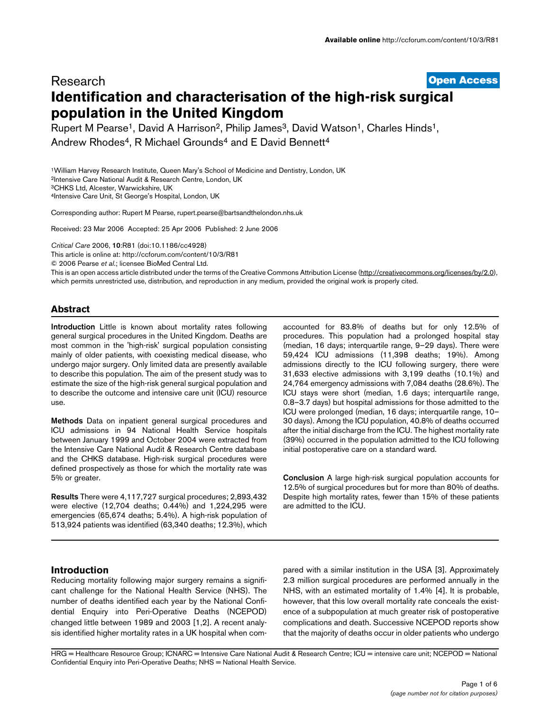# **[Open Access](http://www.biomedcentral.com/info/about/charter/)** Research **Identification and characterisation of the high-risk surgical population in the United Kingdom**

Rupert M Pearse<sup>1</sup>, David A Harrison<sup>2</sup>, Philip James<sup>3</sup>, David Watson<sup>1</sup>, Charles Hinds<sup>1</sup>, Andrew Rhodes<sup>4</sup>, R Michael Grounds<sup>4</sup> and E David Bennett<sup>4</sup>

1William Harvey Research Institute, Queen Mary's School of Medicine and Dentistry, London, UK 2Intensive Care National Audit & Research Centre, London, UK 3CHKS Ltd, Alcester, Warwickshire, UK 4Intensive Care Unit, St George's Hospital, London, UK

Corresponding author: Rupert M Pearse, rupert.pearse@bartsandthelondon.nhs.uk

Received: 23 Mar 2006 Accepted: 25 Apr 2006 Published: 2 June 2006

*Critical Care* 2006, **10**:R81 (doi:10.1186/cc4928)

[This article is online at: http://ccforum.com/content/10/3/R81](http://ccforum.com/content/10/3/R81)

© 2006 Pearse *et al*.; licensee BioMed Central Ltd.

This is an open access article distributed under the terms of the Creative Commons Attribution License [\(http://creativecommons.org/licenses/by/2.0\)](http://creativecommons.org/licenses/by/2.0), which permits unrestricted use, distribution, and reproduction in any medium, provided the original work is properly cited.

## **Abstract**

**Introduction** Little is known about mortality rates following general surgical procedures in the United Kingdom. Deaths are most common in the 'high-risk' surgical population consisting mainly of older patients, with coexisting medical disease, who undergo major surgery. Only limited data are presently available to describe this population. The aim of the present study was to estimate the size of the high-risk general surgical population and to describe the outcome and intensive care unit (ICU) resource use.

**Methods** Data on inpatient general surgical procedures and ICU admissions in 94 National Health Service hospitals between January 1999 and October 2004 were extracted from the Intensive Care National Audit & Research Centre database and the CHKS database. High-risk surgical procedures were defined prospectively as those for which the mortality rate was 5% or greater.

**Results** There were 4,117,727 surgical procedures; 2,893,432 were elective (12,704 deaths; 0.44%) and 1,224,295 were emergencies (65,674 deaths; 5.4%). A high-risk population of 513,924 patients was identified (63,340 deaths; 12.3%), which

accounted for 83.8% of deaths but for only 12.5% of procedures. This population had a prolonged hospital stay (median, 16 days; interquartile range, 9–29 days). There were 59,424 ICU admissions (11,398 deaths; 19%). Among admissions directly to the ICU following surgery, there were 31,633 elective admissions with 3,199 deaths (10.1%) and 24,764 emergency admissions with 7,084 deaths (28.6%). The ICU stays were short (median, 1.6 days; interquartile range, 0.8–3.7 days) but hospital admissions for those admitted to the ICU were prolonged (median, 16 days; interquartile range, 10– 30 days). Among the ICU population, 40.8% of deaths occurred after the initial discharge from the ICU. The highest mortality rate (39%) occurred in the population admitted to the ICU following initial postoperative care on a standard ward.

**Conclusion** A large high-risk surgical population accounts for 12.5% of surgical procedures but for more than 80% of deaths. Despite high mortality rates, fewer than 15% of these patients are admitted to the ICU.

## **Introduction**

Reducing mortality following major surgery remains a significant challenge for the National Health Service (NHS). The number of deaths identified each year by the National Confidential Enquiry into Peri-Operative Deaths (NCEPOD) changed little between 1989 and 2003 [1,2]. A recent analysis identified higher mortality rates in a UK hospital when compared with a similar institution in the USA [3]. Approximately 2.3 million surgical procedures are performed annually in the NHS, with an estimated mortality of 1.4% [4]. It is probable, however, that this low overall mortality rate conceals the existence of a subpopulation at much greater risk of postoperative complications and death. Successive NCEPOD reports show that the majority of deaths occur in older patients who undergo

HRG = Healthcare Resource Group; ICNARC = Intensive Care National Audit & Research Centre; ICU = intensive care unit; NCEPOD = National Confidential Enquiry into Peri-Operative Deaths; NHS = National Health Service.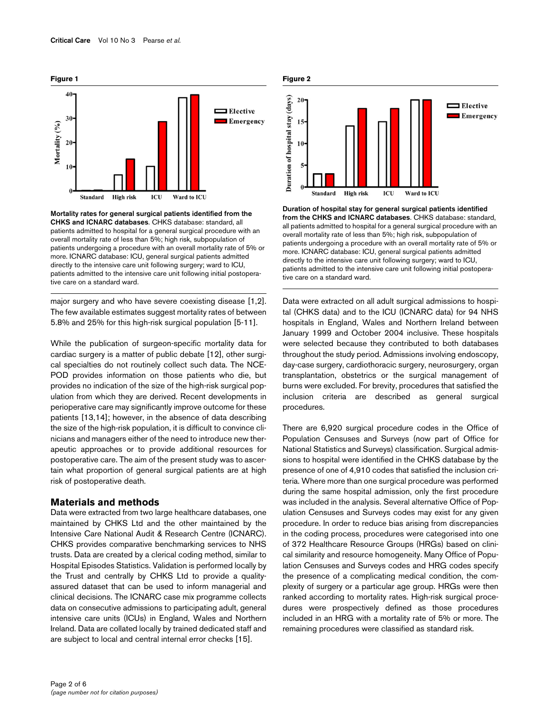

Mortality rates for general surgical patients identified from the **CHKS and ICNARC databases**. CHKS database: standard, all patients admitted to hospital for a general surgical procedure with an overall mortality rate of less than 5%; high risk, subpopulation of patients undergoing a procedure with an overall mortality rate of 5% or more. ICNARC database: ICU, general surgical patients admitted directly to the intensive care unit following surgery; ward to ICU, patients admitted to the intensive care unit following initial postoperative care on a standard ward.

major surgery and who have severe coexisting disease [1,2]. The few available estimates suggest mortality rates of between 5.8% and 25% for this high-risk surgical population [5-11].

While the publication of surgeon-specific mortality data for cardiac surgery is a matter of public debate [12], other surgical specialties do not routinely collect such data. The NCE-POD provides information on those patients who die, but provides no indication of the size of the high-risk surgical population from which they are derived. Recent developments in perioperative care may significantly improve outcome for these patients [13,14]; however, in the absence of data describing the size of the high-risk population, it is difficult to convince clinicians and managers either of the need to introduce new therapeutic approaches or to provide additional resources for postoperative care. The aim of the present study was to ascertain what proportion of general surgical patients are at high risk of postoperative death.

#### **Materials and methods**

Data were extracted from two large healthcare databases, one maintained by CHKS Ltd and the other maintained by the Intensive Care National Audit & Research Centre (ICNARC). CHKS provides comparative benchmarking services to NHS trusts. Data are created by a clerical coding method, similar to Hospital Episodes Statistics. Validation is performed locally by the Trust and centrally by CHKS Ltd to provide a qualityassured dataset that can be used to inform managerial and clinical decisions. The ICNARC case mix programme collects data on consecutive admissions to participating adult, general intensive care units (ICUs) in England, Wales and Northern Ireland. Data are collated locally by trained dedicated staff and are subject to local and central internal error checks [15].



Duration of hospital stay for general surgical patients identified **from the CHKS and ICNARC databases**. CHKS database: standard, all patients admitted to hospital for a general surgical procedure with an overall mortality rate of less than 5%; high risk, subpopulation of patients undergoing a procedure with an overall mortality rate of 5% or more. ICNARC database: ICU, general surgical patients admitted directly to the intensive care unit following surgery; ward to ICU, patients admitted to the intensive care unit following initial postoperative care on a standard ward.

Data were extracted on all adult surgical admissions to hospital (CHKS data) and to the ICU (ICNARC data) for 94 NHS hospitals in England, Wales and Northern Ireland between January 1999 and October 2004 inclusive. These hospitals were selected because they contributed to both databases throughout the study period. Admissions involving endoscopy, day-case surgery, cardiothoracic surgery, neurosurgery, organ transplantation, obstetrics or the surgical management of burns were excluded. For brevity, procedures that satisfied the inclusion criteria are described as general surgical procedures.

There are 6,920 surgical procedure codes in the Office of Population Censuses and Surveys (now part of Office for National Statistics and Surveys) classification. Surgical admissions to hospital were identified in the CHKS database by the presence of one of 4,910 codes that satisfied the inclusion criteria. Where more than one surgical procedure was performed during the same hospital admission, only the first procedure was included in the analysis. Several alternative Office of Population Censuses and Surveys codes may exist for any given procedure. In order to reduce bias arising from discrepancies in the coding process, procedures were categorised into one of 372 Healthcare Resource Groups (HRGs) based on clinical similarity and resource homogeneity. Many Office of Population Censuses and Surveys codes and HRG codes specify the presence of a complicating medical condition, the complexity of surgery or a particular age group. HRGs were then ranked according to mortality rates. High-risk surgical procedures were prospectively defined as those procedures included in an HRG with a mortality rate of 5% or more. The remaining procedures were classified as standard risk.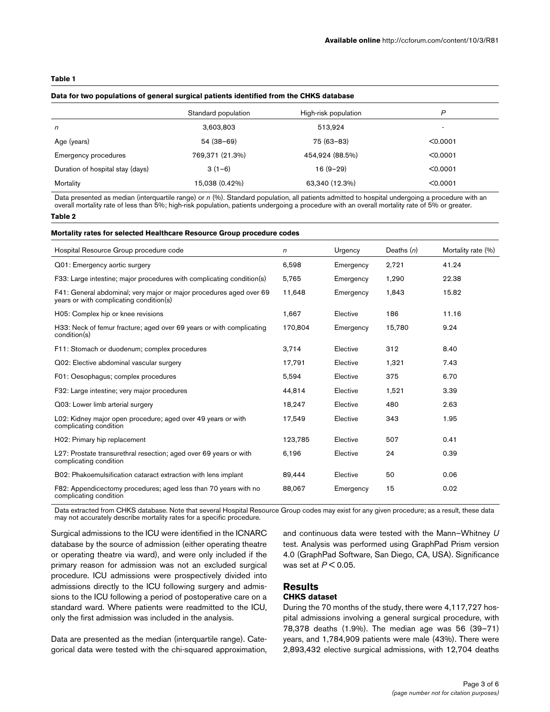#### <span id="page-2-0"></span>**Table 1**

#### **Data for two populations of general surgical patients identified from the CHKS database**

| Standard population | High-risk population | P                        |  |
|---------------------|----------------------|--------------------------|--|
| 3,603,803           | 513.924              | $\overline{\phantom{a}}$ |  |
| 54 (38-69)          | 75 (63-83)           | < 0.0001                 |  |
| 769,371 (21.3%)     | 454,924 (88.5%)      | < 0.0001                 |  |
| $3(1-6)$            | $16(9-29)$           | < 0.0001                 |  |
| 15,038 (0.42%)      | 63,340 (12.3%)       | < 0.0001                 |  |
|                     |                      |                          |  |

Data presented as median (interquartile range) or *n* (%). Standard population, all patients admitted to hospital undergoing a procedure with an overall mortality rate of less than 5%; high-risk population, patients undergoing a procedure with an overall mortality rate of 5% or greater.

<span id="page-2-1"></span>**Table 2**

#### **Mortality rates for selected Healthcare Resource Group procedure codes**

| Hospital Resource Group procedure code                                                                         | n       | Urgency   | Deaths $(n)$ | Mortality rate (%) |
|----------------------------------------------------------------------------------------------------------------|---------|-----------|--------------|--------------------|
| Q01: Emergency aortic surgery                                                                                  | 6.598   | Emergency | 2,721        | 41.24              |
| F33: Large intestine; major procedures with complicating condition(s)                                          | 5.765   | Emergency | 1,290        | 22.38              |
| F41: General abdominal; very major or major procedures aged over 69<br>years or with complicating condition(s) | 11,648  | Emergency | 1,843        | 15.82              |
| H05: Complex hip or knee revisions                                                                             | 1,667   | Elective  | 186          | 11.16              |
| H33: Neck of femur fracture; aged over 69 years or with complicating<br>condition(s)                           | 170.804 | Emergency | 15,780       | 9.24               |
| F11: Stomach or duodenum; complex procedures                                                                   | 3,714   | Elective  | 312          | 8.40               |
| Q02: Elective abdominal vascular surgery                                                                       | 17,791  | Elective  | 1,321        | 7.43               |
| F01: Oesophagus; complex procedures                                                                            | 5,594   | Elective  | 375          | 6.70               |
| F32: Large intestine; very major procedures                                                                    | 44,814  | Elective  | 1,521        | 3.39               |
| Q03: Lower limb arterial surgery                                                                               | 18,247  | Elective  | 480          | 2.63               |
| L02: Kidney major open procedure; aged over 49 years or with<br>complicating condition                         | 17,549  | Elective  | 343          | 1.95               |
| H02: Primary hip replacement                                                                                   | 123.785 | Elective  | 507          | 0.41               |
| L27: Prostate transurethral resection; aged over 69 years or with<br>complicating condition                    | 6,196   | Elective  | 24           | 0.39               |
| B02: Phakoemulsification cataract extraction with lens implant                                                 | 89,444  | Elective  | 50           | 0.06               |
| F82: Appendicectomy procedures; aged less than 70 years with no<br>complicating condition                      | 88,067  | Emergency | 15           | 0.02               |

Data extracted from CHKS database. Note that several Hospital Resource Group codes may exist for any given procedure; as a result, these data may not accurately describe mortality rates for a specific procedure.

Surgical admissions to the ICU were identified in the ICNARC database by the source of admission (either operating theatre or operating theatre via ward), and were only included if the primary reason for admission was not an excluded surgical procedure. ICU admissions were prospectively divided into admissions directly to the ICU following surgery and admissions to the ICU following a period of postoperative care on a standard ward. Where patients were readmitted to the ICU, only the first admission was included in the analysis.

Data are presented as the median (interquartile range). Categorical data were tested with the chi-squared approximation, and continuous data were tested with the Mann–Whitney *U* test. Analysis was performed using GraphPad Prism version 4.0 (GraphPad Software, San Diego, CA, USA). Significance was set at *P* < 0.05.

## **Results**

## **CHKS dataset**

During the 70 months of the study, there were 4,117,727 hospital admissions involving a general surgical procedure, with 78,378 deaths (1.9%). The median age was 56 (39–71) years, and 1,784,909 patients were male (43%). There were 2,893,432 elective surgical admissions, with 12,704 deaths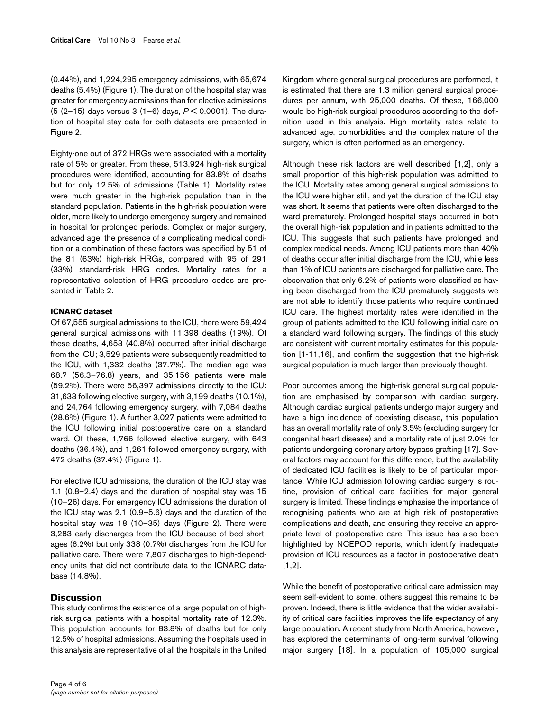(0.44%), and 1,224,295 emergency admissions, with 65,674 deaths (5.4%) (Figure 1). The duration of the hospital stay was greater for emergency admissions than for elective admissions (5 (2–15) days versus 3 (1–6) days, *P* < 0.0001). The duration of hospital stay data for both datasets are presented in Figure 2.

Eighty-one out of 372 HRGs were associated with a mortality rate of 5% or greater. From these, 513,924 high-risk surgical procedures were identified, accounting for 83.8% of deaths but for only 12.5% of admissions (Table [1\)](#page-2-0). Mortality rates were much greater in the high-risk population than in the standard population. Patients in the high-risk population were older, more likely to undergo emergency surgery and remained in hospital for prolonged periods. Complex or major surgery, advanced age, the presence of a complicating medical condition or a combination of these factors was specified by 51 of the 81 (63%) high-risk HRGs, compared with 95 of 291 (33%) standard-risk HRG codes. Mortality rates for a representative selection of HRG procedure codes are presented in Table [2](#page-2-1).

### **ICNARC dataset**

Of 67,555 surgical admissions to the ICU, there were 59,424 general surgical admissions with 11,398 deaths (19%). Of these deaths, 4,653 (40.8%) occurred after initial discharge from the ICU; 3,529 patients were subsequently readmitted to the ICU, with 1,332 deaths (37.7%). The median age was 68.7 (56.3–76.8) years, and 35,156 patients were male (59.2%). There were 56,397 admissions directly to the ICU: 31,633 following elective surgery, with 3,199 deaths (10.1%), and 24,764 following emergency surgery, with 7,084 deaths (28.6%) (Figure 1). A further 3,027 patients were admitted to the ICU following initial postoperative care on a standard ward. Of these, 1,766 followed elective surgery, with 643 deaths (36.4%), and 1,261 followed emergency surgery, with 472 deaths (37.4%) (Figure 1).

For elective ICU admissions, the duration of the ICU stay was 1.1 (0.8–2.4) days and the duration of hospital stay was 15 (10–26) days. For emergency ICU admissions the duration of the ICU stay was 2.1 (0.9–5.6) days and the duration of the hospital stay was 18 (10–35) days (Figure 2). There were 3,283 early discharges from the ICU because of bed shortages (6.2%) but only 338 (0.7%) discharges from the ICU for palliative care. There were 7,807 discharges to high-dependency units that did not contribute data to the ICNARC database (14.8%).

### **Discussion**

This study confirms the existence of a large population of highrisk surgical patients with a hospital mortality rate of 12.3%. This population accounts for 83.8% of deaths but for only 12.5% of hospital admissions. Assuming the hospitals used in this analysis are representative of all the hospitals in the United Kingdom where general surgical procedures are performed, it is estimated that there are 1.3 million general surgical procedures per annum, with 25,000 deaths. Of these, 166,000 would be high-risk surgical procedures according to the definition used in this analysis. High mortality rates relate to advanced age, comorbidities and the complex nature of the surgery, which is often performed as an emergency.

Although these risk factors are well described [1,2], only a small proportion of this high-risk population was admitted to the ICU. Mortality rates among general surgical admissions to the ICU were higher still, and yet the duration of the ICU stay was short. It seems that patients were often discharged to the ward prematurely. Prolonged hospital stays occurred in both the overall high-risk population and in patients admitted to the ICU. This suggests that such patients have prolonged and complex medical needs. Among ICU patients more than 40% of deaths occur after initial discharge from the ICU, while less than 1% of ICU patients are discharged for palliative care. The observation that only 6.2% of patients were classified as having been discharged from the ICU prematurely suggests we are not able to identify those patients who require continued ICU care. The highest mortality rates were identified in the group of patients admitted to the ICU following initial care on a standard ward following surgery. The findings of this study are consistent with current mortality estimates for this population [1-11,16], and confirm the suggestion that the high-risk surgical population is much larger than previously thought.

Poor outcomes among the high-risk general surgical population are emphasised by comparison with cardiac surgery. Although cardiac surgical patients undergo major surgery and have a high incidence of coexisting disease, this population has an overall mortality rate of only 3.5% (excluding surgery for congenital heart disease) and a mortality rate of just 2.0% for patients undergoing coronary artery bypass grafting [17]. Several factors may account for this difference, but the availability of dedicated ICU facilities is likely to be of particular importance. While ICU admission following cardiac surgery is routine, provision of critical care facilities for major general surgery is limited. These findings emphasise the importance of recognising patients who are at high risk of postoperative complications and death, and ensuring they receive an appropriate level of postoperative care. This issue has also been highlighted by NCEPOD reports, which identify inadequate provision of ICU resources as a factor in postoperative death [1,2].

While the benefit of postoperative critical care admission may seem self-evident to some, others suggest this remains to be proven. Indeed, there is little evidence that the wider availability of critical care facilities improves the life expectancy of any large population. A recent study from North America, however, has explored the determinants of long-term survival following major surgery [18]. In a population of 105,000 surgical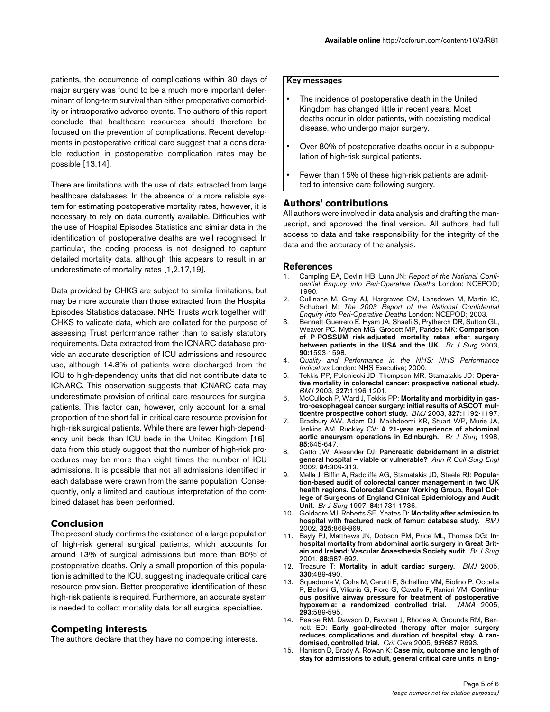patients, the occurrence of complications within 30 days of major surgery was found to be a much more important determinant of long-term survival than either preoperative comorbidity or intraoperative adverse events. The authors of this report conclude that healthcare resources should therefore be focused on the prevention of complications. Recent developments in postoperative critical care suggest that a considerable reduction in postoperative complication rates may be possible [13,14].

There are limitations with the use of data extracted from large healthcare databases. In the absence of a more reliable system for estimating postoperative mortality rates, however, it is necessary to rely on data currently available. Difficulties with the use of Hospital Episodes Statistics and similar data in the identification of postoperative deaths are well recognised. In particular, the coding process is not designed to capture detailed mortality data, although this appears to result in an underestimate of mortality rates [1,2,17,19].

Data provided by CHKS are subject to similar limitations, but may be more accurate than those extracted from the Hospital Episodes Statistics database. NHS Trusts work together with CHKS to validate data, which are collated for the purpose of assessing Trust performance rather than to satisfy statutory requirements. Data extracted from the ICNARC database provide an accurate description of ICU admissions and resource use, although 14.8% of patients were discharged from the ICU to high-dependency units that did not contribute data to ICNARC. This observation suggests that ICNARC data may underestimate provision of critical care resources for surgical patients. This factor can, however, only account for a small proportion of the short fall in critical care resource provision for high-risk surgical patients. While there are fewer high-dependency unit beds than ICU beds in the United Kingdom [16], data from this study suggest that the number of high-risk procedures may be more than eight times the number of ICU admissions. It is possible that not all admissions identified in each database were drawn from the same population. Consequently, only a limited and cautious interpretation of the combined dataset has been performed.

## **Conclusion**

The present study confirms the existence of a large population of high-risk general surgical patients, which accounts for around 13% of surgical admissions but more than 80% of postoperative deaths. Only a small proportion of this population is admitted to the ICU, suggesting inadequate critical care resource provision. Better preoperative identification of these high-risk patients is required. Furthermore, an accurate system is needed to collect mortality data for all surgical specialties.

## **Competing interests**

The authors declare that they have no competing interests.

#### **Key messages**

- The incidence of postoperative death in the United Kingdom has changed little in recent years. Most deaths occur in older patients, with coexisting medical disease, who undergo major surgery.
- Over 80% of postoperative deaths occur in a subpopulation of high-risk surgical patients.
- Fewer than 15% of these high-risk patients are admitted to intensive care following surgery.

## **Authors' contributions**

All authors were involved in data analysis and drafting the manuscript, and approved the final version. All authors had full access to data and take responsibility for the integrity of the data and the accuracy of the analysis.

#### **References**

- 1. Campling EA, Devlin HB, Lunn JN: *Report of the National Confidential Enquiry into Peri-Operative Deaths* London: NCEPOD; 1990.
- 2. Cullinane M, Gray AJ, Hargraves CM, Lansdown M, Martin IC, Schubert M: *The 2003 Report of the National Confidential Enquiry into Peri-Operative Deaths* London: NCEPOD; 2003.
- 3. Bennett-Guerrero E, Hyam JA, Shaefi S, Prytherch DR, Sutton GL, Weaver PC, Mythen MG, Grocott MP, Parides MK: **[Comparison](http://www.ncbi.nlm.nih.gov/entrez/query.fcgi?cmd=Retrieve&db=PubMed&dopt=Abstract&list_uids=14648741) [of P-POSSUM risk-adjusted mortality rates after surgery](http://www.ncbi.nlm.nih.gov/entrez/query.fcgi?cmd=Retrieve&db=PubMed&dopt=Abstract&list_uids=14648741) [between patients in the USA and the UK.](http://www.ncbi.nlm.nih.gov/entrez/query.fcgi?cmd=Retrieve&db=PubMed&dopt=Abstract&list_uids=14648741)** *Br J Surg* 2003, **90:**1593-1598.
- 4. *Quality and Performance in the NHS: NHS Performance Indicators* London: NHS Executive; 2000.
- 5. Tekkis PP, Poloniecki JD, Thompson MR, Stamatakis JD: **[Opera](http://www.ncbi.nlm.nih.gov/entrez/query.fcgi?cmd=Retrieve&db=PubMed&dopt=Abstract&list_uids=14630754)[tive mortality in colorectal cancer: prospective national study.](http://www.ncbi.nlm.nih.gov/entrez/query.fcgi?cmd=Retrieve&db=PubMed&dopt=Abstract&list_uids=14630754)** *BMJ* 2003, **327:**1196-1201.
- 6. McCulloch P, Ward J, Tekkis PP: **[Mortality and morbidity in gas](http://www.ncbi.nlm.nih.gov/entrez/query.fcgi?cmd=Retrieve&db=PubMed&dopt=Abstract&list_uids=14630753)[tro-oesophageal cancer surgery: initial results of ASCOT mul](http://www.ncbi.nlm.nih.gov/entrez/query.fcgi?cmd=Retrieve&db=PubMed&dopt=Abstract&list_uids=14630753)[ticentre prospective cohort study.](http://www.ncbi.nlm.nih.gov/entrez/query.fcgi?cmd=Retrieve&db=PubMed&dopt=Abstract&list_uids=14630753)** *BMJ* 2003, **327:**1192-1197.
- 7. Bradbury AW, Adam DJ, Makhdoomi KR, Stuart WP, Murie JA, Jenkins AM, Ruckley CV: **[A 21-year experience of abdominal](http://www.ncbi.nlm.nih.gov/entrez/query.fcgi?cmd=Retrieve&db=PubMed&dopt=Abstract&list_uids=9635812) [aortic aneurysm operations in Edinburgh.](http://www.ncbi.nlm.nih.gov/entrez/query.fcgi?cmd=Retrieve&db=PubMed&dopt=Abstract&list_uids=9635812)** *Br J Surg* 1998, **85:**645-647.
- 8. Catto JW, Alexander DJ: **[Pancreatic debridement in a district](http://www.ncbi.nlm.nih.gov/entrez/query.fcgi?cmd=Retrieve&db=PubMed&dopt=Abstract&list_uids=12398120) [general hospital – viable or vulnerable?](http://www.ncbi.nlm.nih.gov/entrez/query.fcgi?cmd=Retrieve&db=PubMed&dopt=Abstract&list_uids=12398120)** *Ann R Coll Surg Engl* 2002, **84:**309-313.
- 9. Mella J, Biffin A, Radcliffe AG, Stamatakis JD, Steele RJ: **[Popula](http://www.ncbi.nlm.nih.gov/entrez/query.fcgi?cmd=Retrieve&db=PubMed&dopt=Abstract&list_uids=9448628)[tion-based audit of colorectal cancer management in two UK](http://www.ncbi.nlm.nih.gov/entrez/query.fcgi?cmd=Retrieve&db=PubMed&dopt=Abstract&list_uids=9448628) health regions. Colorectal Cancer Working Group, Royal College of Surgeons of England Clinical Epidemiology and Audit [Unit.](http://www.ncbi.nlm.nih.gov/entrez/query.fcgi?cmd=Retrieve&db=PubMed&dopt=Abstract&list_uids=9448628)** *Br J Surg* 1997, **84:**1731-1736.
- 10. Goldacre MJ, Roberts SE, Yeates D: **[Mortality after admission to](http://www.ncbi.nlm.nih.gov/entrez/query.fcgi?cmd=Retrieve&db=PubMed&dopt=Abstract&list_uids=12386038) [hospital with fractured neck of femur: database study.](http://www.ncbi.nlm.nih.gov/entrez/query.fcgi?cmd=Retrieve&db=PubMed&dopt=Abstract&list_uids=12386038)** *BMJ* 2002, **325:**868-869.
- 11. Bayly PJ, Matthews JN, Dobson PM, Price ML, Thomas DG: **[In](http://www.ncbi.nlm.nih.gov/entrez/query.fcgi?cmd=Retrieve&db=PubMed&dopt=Abstract&list_uids=11350442)[hospital mortality from abdominal aortic surgery in Great Brit](http://www.ncbi.nlm.nih.gov/entrez/query.fcgi?cmd=Retrieve&db=PubMed&dopt=Abstract&list_uids=11350442)[ain and Ireland: Vascular Anaesthesia Society audit.](http://www.ncbi.nlm.nih.gov/entrez/query.fcgi?cmd=Retrieve&db=PubMed&dopt=Abstract&list_uids=11350442)** *Br J Surg* 2001, **88:**687-692.
- 12. Treasure T: **[Mortality in adult cardiac surgery.](http://www.ncbi.nlm.nih.gov/entrez/query.fcgi?cmd=Retrieve&db=PubMed&dopt=Abstract&list_uids=15746107)** *BMJ* 2005, **330:**489-490.
- 13. Squadrone V, Coha M, Cerutti E, Schellino MM, Biolino P, Occella P, Belloni G, Vilianis G, Fiore G, Cavallo F, Ranieri VM: **[Continu](http://www.ncbi.nlm.nih.gov/entrez/query.fcgi?cmd=Retrieve&db=PubMed&dopt=Abstract&list_uids=15687314)[ous positive airway pressure for treatment of postoperative](http://www.ncbi.nlm.nih.gov/entrez/query.fcgi?cmd=Retrieve&db=PubMed&dopt=Abstract&list_uids=15687314) [hypoxemia: a randomized controlled trial.](http://www.ncbi.nlm.nih.gov/entrez/query.fcgi?cmd=Retrieve&db=PubMed&dopt=Abstract&list_uids=15687314)** *JAMA* 2005, **293:**589-595.
- 14. Pearse RM, Dawson D, Fawcett J, Rhodes A, Grounds RM, Bennett ED: **[Early goal-directed therapy after major surgery](http://www.ncbi.nlm.nih.gov/entrez/query.fcgi?cmd=Retrieve&db=PubMed&dopt=Abstract&list_uids=16356219) [reduces complications and duration of hospital stay. A ran](http://www.ncbi.nlm.nih.gov/entrez/query.fcgi?cmd=Retrieve&db=PubMed&dopt=Abstract&list_uids=16356219)[domised, controlled trial.](http://www.ncbi.nlm.nih.gov/entrez/query.fcgi?cmd=Retrieve&db=PubMed&dopt=Abstract&list_uids=16356219)** *Crit Care* 2005, **9:**R687-R693.
- 15. Harrison D, Brady A, Rowan K: **[Case mix, outcome and length of](http://www.ncbi.nlm.nih.gov/entrez/query.fcgi?cmd=Retrieve&db=PubMed&dopt=Abstract&list_uids=15025784) [stay for admissions to adult, general critical care units in Eng-](http://www.ncbi.nlm.nih.gov/entrez/query.fcgi?cmd=Retrieve&db=PubMed&dopt=Abstract&list_uids=15025784)**